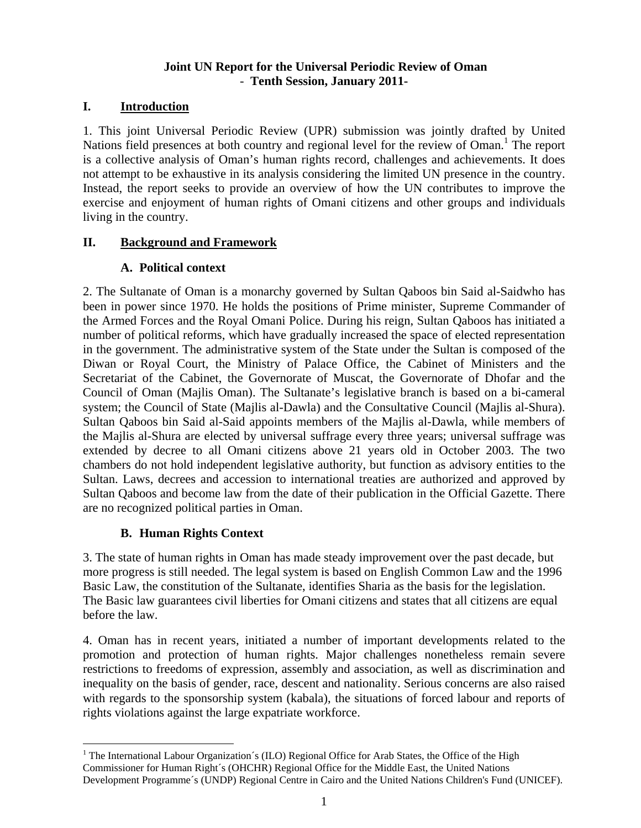#### **Joint UN Report for the Universal Periodic Review of Oman**  - **Tenth Session, January 2011-**

### **I. Introduction**

1. This joint Universal Periodic Review (UPR) submission was jointly drafted by United Nations field presences at both country and regional level for the review of Oman.<sup>1</sup> The report is a collective analysis of Oman's human rights record, challenges and achievements. It does not attempt to be exhaustive in its analysis considering the limited UN presence in the country. Instead, the report seeks to provide an overview of how the UN contributes to improve the exercise and enjoyment of human rights of Omani citizens and other groups and individuals living in the country.

### **II. Background and Framework**

### **A. Political context**

2. The Sultanate of Oman is a monarchy governed by Sultan Qaboos bin Said al-Saidwho has been in power since 1970. He holds the positions of Prime minister, Supreme Commander of the Armed Forces and the Royal Omani Police. During his reign, Sultan Qaboos has initiated a number of political reforms, which have gradually increased the space of elected representation in the government. The administrative system of the State under the Sultan is composed of the Diwan or Royal Court, the Ministry of Palace Office, the Cabinet of Ministers and the Secretariat of the Cabinet, the Governorate of Muscat, the Governorate of Dhofar and the Council of Oman (Majlis Oman). The Sultanate's legislative branch is based on a bi-cameral system; the Council of State (Majlis al-Dawla) and the Consultative Council (Majlis al-Shura). Sultan Qaboos bin Said al-Said appoints members of the Majlis al-Dawla, while members of the Majlis al-Shura are elected by universal suffrage every three years; universal suffrage was extended by decree to all Omani citizens above 21 years old in October 2003. The two chambers do not hold independent legislative authority, but function as advisory entities to the Sultan. Laws, decrees and accession to international treaties are authorized and approved by Sultan Qaboos and become law from the date of their publication in the Official Gazette. There are no recognized political parties in Oman.

# **B. Human Rights Context**

3. The state of human rights in Oman has made steady improvement over the past decade, but more progress is still needed. The legal system is based on English Common Law and the 1996 Basic Law, the constitution of the Sultanate, identifies Sharia as the basis for the legislation. The Basic law guarantees civil liberties for Omani citizens and states that all citizens are equal before the law.

4. Oman has in recent years, initiated a number of important developments related to the promotion and protection of human rights. Major challenges nonetheless remain severe restrictions to freedoms of expression, assembly and association, as well as discrimination and inequality on the basis of gender, race, descent and nationality. Serious concerns are also raised with regards to the sponsorship system (kabala), the situations of forced labour and reports of rights violations against the large expatriate workforce.

 $\overline{a}$ <sup>1</sup> The International Labour Organization´s (ILO) Regional Office for Arab States, the Office of the High Commissioner for Human Right´s (OHCHR) Regional Office for the Middle East, the United Nations Development Programme´s (UNDP) Regional Centre in Cairo and the United Nations Children's Fund (UNICEF).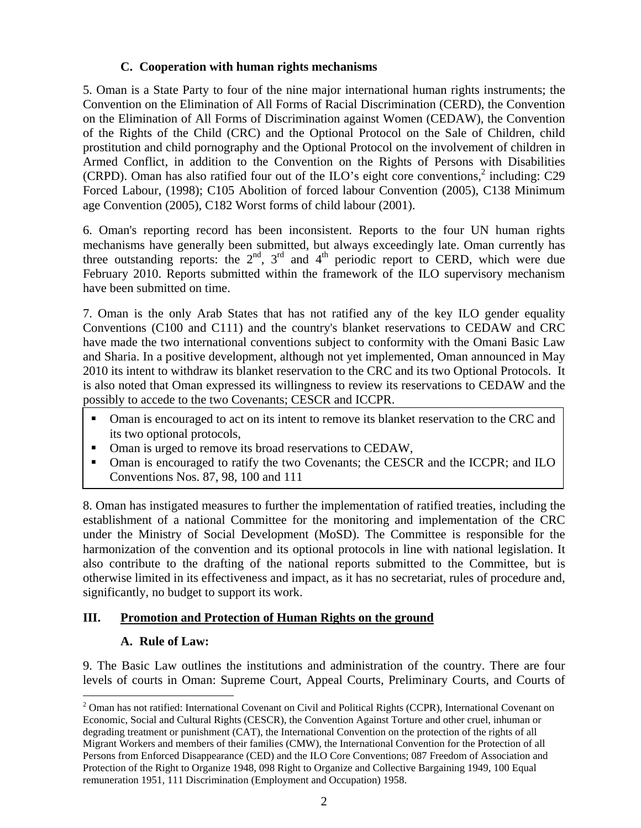#### **C. Cooperation with human rights mechanisms**

5. Oman is a State Party to four of the nine major international human rights instruments; the Convention on the Elimination of All Forms of Racial Discrimination (CERD), the Convention on the Elimination of All Forms of Discrimination against Women (CEDAW), the Convention of the Rights of the Child (CRC) and the Optional Protocol on the Sale of Children, child prostitution and child pornography and the Optional Protocol on the involvement of children in Armed Conflict, in addition to the Convention on the Rights of Persons with Disabilities (CRPD). Oman has also ratified four out of the ILO's eight core conventions, $2$  including: C29 Forced Labour, (1998); C105 Abolition of forced labour Convention (2005), C138 Minimum age Convention (2005), C182 Worst forms of child labour (2001).

6. Oman's reporting record has been inconsistent. Reports to the four UN human rights mechanisms have generally been submitted, but always exceedingly late. Oman currently has three outstanding reports: the  $2<sup>nd</sup>$ ,  $3<sup>rd</sup>$  and  $4<sup>th</sup>$  periodic report to CERD, which were due February 2010. Reports submitted within the framework of the ILO supervisory mechanism have been submitted on time.

7. Oman is the only Arab States that has not ratified any of the key ILO gender equality Conventions (C100 and C111) and the country's blanket reservations to CEDAW and CRC have made the two international conventions subject to conformity with the Omani Basic Law and Sharia. In a positive development, although not yet implemented, Oman announced in May 2010 its intent to withdraw its blanket reservation to the CRC and its two Optional Protocols. It is also noted that Oman expressed its willingness to review its reservations to CEDAW and the possibly to accede to the two Covenants; CESCR and ICCPR.

- Oman is encouraged to act on its intent to remove its blanket reservation to the CRC and its two optional protocols,
- Oman is urged to remove its broad reservations to CEDAW,
- Oman is encouraged to ratify the two Covenants; the CESCR and the ICCPR; and ILO Conventions Nos. 87, 98, 100 and 111

8. Oman has instigated measures to further the implementation of ratified treaties, including the establishment of a national Committee for the monitoring and implementation of the CRC under the Ministry of Social Development (MoSD). The Committee is responsible for the harmonization of the convention and its optional protocols in line with national legislation. It also contribute to the drafting of the national reports submitted to the Committee, but is otherwise limited in its effectiveness and impact, as it has no secretariat, rules of procedure and, significantly, no budget to support its work.

### **III. Promotion and Protection of Human Rights on the ground**

### **A. Rule of Law:**

9. The Basic Law outlines the institutions and administration of the country. There are four levels of courts in Oman: Supreme Court, Appeal Courts, Preliminary Courts, and Courts of

 $\overline{a}$  $2$  Oman has not ratified: International Covenant on Civil and Political Rights (CCPR), International Covenant on Economic, Social and Cultural Rights (CESCR), the Convention Against Torture and other cruel, inhuman or degrading treatment or punishment (CAT), the International Convention on the protection of the rights of all Migrant Workers and members of their families (CMW), the International Convention for the Protection of all Persons from Enforced Disappearance (CED) and the ILO Core Conventions; 087 Freedom of Association and Protection of the Right to Organize 1948, 098 Right to Organize and Collective Bargaining 1949, 100 Equal remuneration 1951, 111 Discrimination (Employment and Occupation) 1958.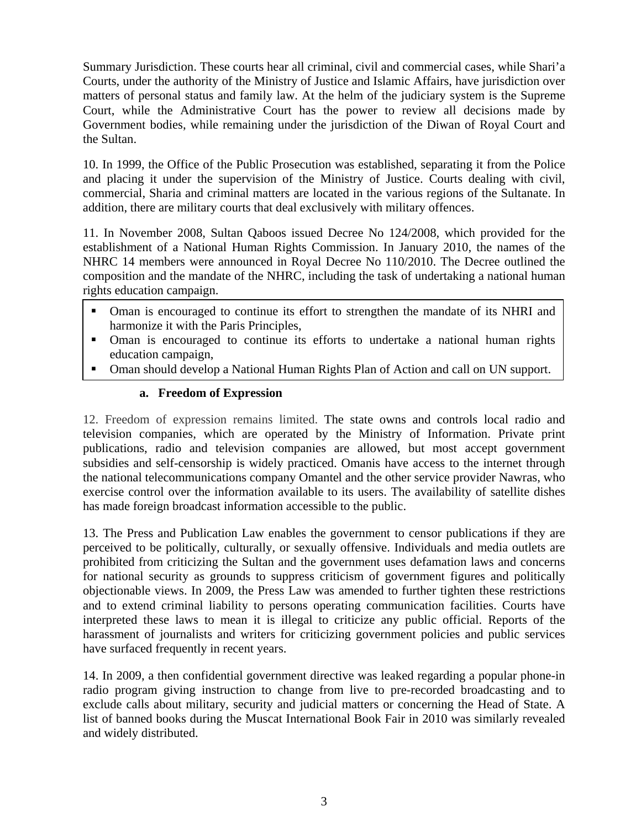Summary Jurisdiction. These courts hear all criminal, civil and commercial cases, while Shari'a Courts, under the authority of the Ministry of Justice and Islamic Affairs, have jurisdiction over matters of personal status and family law. At the helm of the judiciary system is the Supreme Court, while the Administrative Court has the power to review all decisions made by Government bodies, while remaining under the jurisdiction of the Diwan of Royal Court and the Sultan.

10. In 1999, the Office of the Public Prosecution was established, separating it from the Police and placing it under the supervision of the Ministry of Justice. Courts dealing with civil, commercial, Sharia and criminal matters are located in the various regions of the Sultanate. In addition, there are military courts that deal exclusively with military offences.

11. In November 2008, Sultan Qaboos issued Decree No 124/2008, which provided for the establishment of a National Human Rights Commission. In January 2010, the names of the NHRC 14 members were announced in Royal Decree No 110/2010. The Decree outlined the composition and the mandate of the NHRC, including the task of undertaking a national human rights education campaign.

- Oman is encouraged to continue its effort to strengthen the mandate of its NHRI and harmonize it with the Paris Principles,
- Oman is encouraged to continue its efforts to undertake a national human rights education campaign,
- **Framework of Expression** a National Human Rights Plan of Action and call on UN support.

### **a. Freedom of Expression**

12. Freedom of expression remains limited. The state owns and controls local radio and television companies, which are operated by the Ministry of Information. Private print publications, radio and television companies are allowed, but most accept government subsidies and self-censorship is widely practiced. Omanis have access to the internet through the national telecommunications company Omantel and the other service provider Nawras, who exercise control over the information available to its users. The availability of satellite dishes has made foreign broadcast information accessible to the public.

13. The Press and Publication Law enables the government to censor publications if they are perceived to be politically, culturally, or sexually offensive. Individuals and media outlets are prohibited from criticizing the Sultan and the government uses defamation laws and concerns for national security as grounds to suppress criticism of government figures and politically objectionable views. In 2009, the Press Law was amended to further tighten these restrictions and to extend criminal liability to persons operating communication facilities. Courts have interpreted these laws to mean it is illegal to criticize any public official. Reports of the harassment of journalists and writers for criticizing government policies and public services have surfaced frequently in recent years.

14. In 2009, a then confidential government directive was leaked regarding a popular phone-in radio program giving instruction to change from live to pre-recorded broadcasting and to exclude calls about military, security and judicial matters or concerning the Head of State. A list of banned books during the Muscat International Book Fair in 2010 was similarly revealed and widely distributed.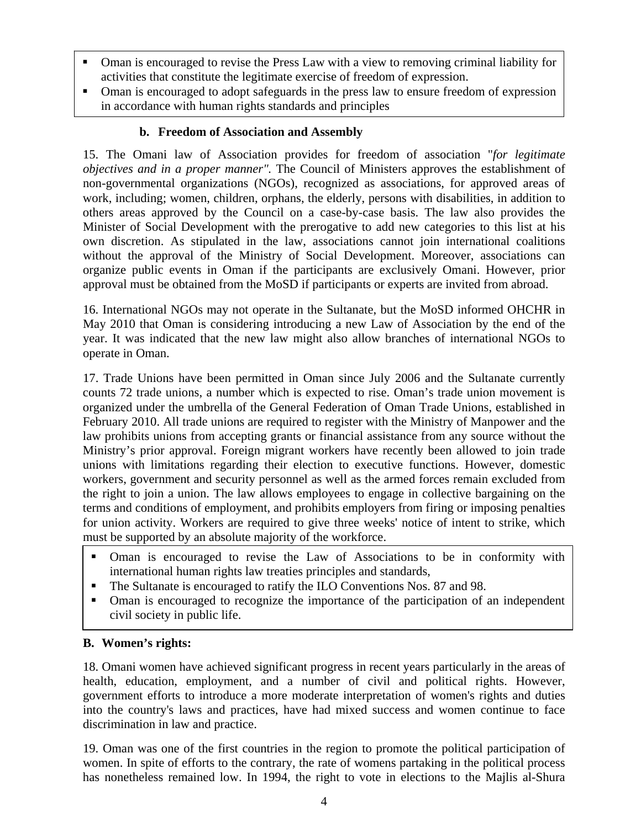- Oman is encouraged to revise the Press Law with a view to removing criminal liability for activities that constitute the legitimate exercise of freedom of expression.
- Oman is encouraged to adopt safeguards in the press law to ensure freedom of expression in accordance with human rights standards and principles

### **b. Freedom of Association and Assembly**

15. The Omani law of Association provides for freedom of association "*for legitimate objectives and in a proper manner".* The Council of Ministers approves the establishment of non-governmental organizations (NGOs), recognized as associations, for approved areas of work, including; women, children, orphans, the elderly, persons with disabilities, in addition to others areas approved by the Council on a case-by-case basis. The law also provides the Minister of Social Development with the prerogative to add new categories to this list at his own discretion. As stipulated in the law, associations cannot join international coalitions without the approval of the Ministry of Social Development. Moreover, associations can organize public events in Oman if the participants are exclusively Omani. However, prior approval must be obtained from the MoSD if participants or experts are invited from abroad.

16. International NGOs may not operate in the Sultanate, but the MoSD informed OHCHR in May 2010 that Oman is considering introducing a new Law of Association by the end of the year. It was indicated that the new law might also allow branches of international NGOs to operate in Oman.

17. Trade Unions have been permitted in Oman since July 2006 and the Sultanate currently counts 72 trade unions, a number which is expected to rise. Oman's trade union movement is organized under the umbrella of the General Federation of Oman Trade Unions, established in February 2010. All trade unions are required to register with the Ministry of Manpower and the law prohibits unions from accepting grants or financial assistance from any source without the Ministry's prior approval. Foreign migrant workers have recently been allowed to join trade unions with limitations regarding their election to executive functions. However, domestic workers, government and security personnel as well as the armed forces remain excluded from the right to join a union. The law allows employees to engage in collective bargaining on the terms and conditions of employment, and prohibits employers from firing or imposing penalties for union activity. Workers are required to give three weeks' notice of intent to strike, which must be supported by an absolute majority of the workforce.

- Oman is encouraged to revise the Law of Associations to be in conformity with international human rights law treaties principles and standards,
- The Sultanate is encouraged to ratify the ILO Conventions Nos. 87 and 98.
- Oman is encouraged to recognize the importance of the participation of an independent civil society in public life.

### **B. Women's rights:**

18. Omani women have achieved significant progress in recent years particularly in the areas of health, education, employment, and a number of civil and political rights. However, government efforts to introduce a more moderate interpretation of women's rights and duties into the country's laws and practices, have had mixed success and women continue to face discrimination in law and practice.

19. Oman was one of the first countries in the region to promote the political participation of women. In spite of efforts to the contrary, the rate of womens partaking in the political process has nonetheless remained low. In 1994, the right to vote in elections to the Majlis al-Shura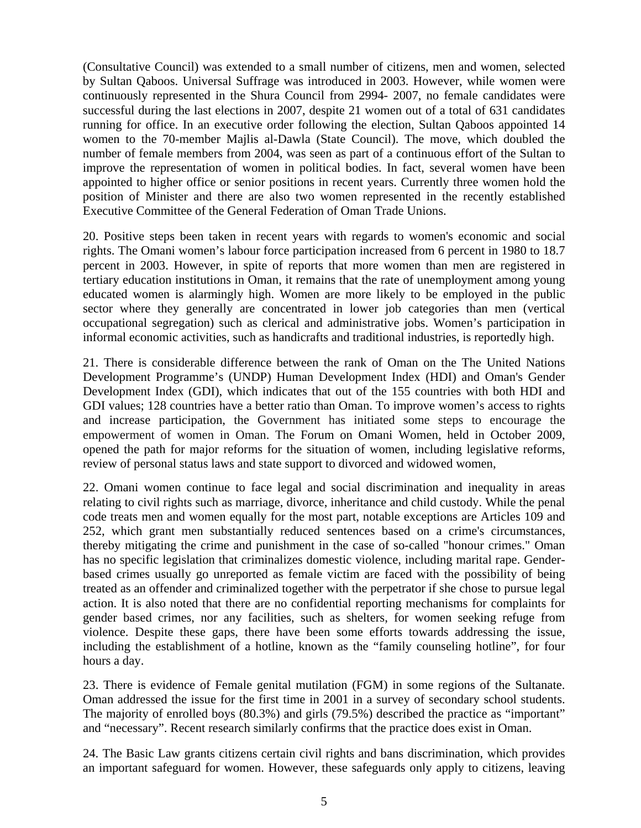(Consultative Council) was extended to a small number of citizens, men and women, selected by Sultan Qaboos. Universal Suffrage was introduced in 2003. However, while women were continuously represented in the Shura Council from 2994- 2007, no female candidates were successful during the last elections in 2007, despite 21 women out of a total of 631 candidates running for office. In an executive order following the election, Sultan Qaboos appointed 14 women to the 70-member Majlis al-Dawla (State Council). The move, which doubled the number of female members from 2004, was seen as part of a continuous effort of the Sultan to improve the representation of women in political bodies. In fact, several women have been appointed to higher office or senior positions in recent years. Currently three women hold the position of Minister and there are also two women represented in the recently established Executive Committee of the General Federation of Oman Trade Unions.

20. Positive steps been taken in recent years with regards to women's economic and social rights. The Omani women's labour force participation increased from 6 percent in 1980 to 18.7 percent in 2003. However, in spite of reports that more women than men are registered in tertiary education institutions in Oman, it remains that the rate of unemployment among young educated women is alarmingly high. Women are more likely to be employed in the public sector where they generally are concentrated in lower job categories than men (vertical occupational segregation) such as clerical and administrative jobs. Women's participation in informal economic activities, such as handicrafts and traditional industries, is reportedly high.

21. There is considerable difference between the rank of Oman on the The United Nations Development Programme's (UNDP) Human Development Index (HDI) and Oman's Gender Development Index (GDI), which indicates that out of the 155 countries with both HDI and GDI values; 128 countries have a better ratio than Oman. To improve women's access to rights and increase participation, the Government has initiated some steps to encourage the empowerment of women in Oman. The Forum on Omani Women, held in October 2009, opened the path for major reforms for the situation of women, including legislative reforms, review of personal status laws and state support to divorced and widowed women,

22. Omani women continue to face legal and social discrimination and inequality in areas relating to civil rights such as marriage, divorce, inheritance and child custody. While the penal code treats men and women equally for the most part, notable exceptions are Articles 109 and 252, which grant men substantially reduced sentences based on a crime's circumstances, thereby mitigating the crime and punishment in the case of so-called "honour crimes." Oman has no specific legislation that criminalizes domestic violence, including marital rape. Genderbased crimes usually go unreported as female victim are faced with the possibility of being treated as an offender and criminalized together with the perpetrator if she chose to pursue legal action. It is also noted that there are no confidential reporting mechanisms for complaints for gender based crimes, nor any facilities, such as shelters, for women seeking refuge from violence. Despite these gaps, there have been some efforts towards addressing the issue, including the establishment of a hotline, known as the "family counseling hotline", for four hours a day.

23. There is evidence of Female genital mutilation (FGM) in some regions of the Sultanate. Oman addressed the issue for the first time in 2001 in a survey of secondary school students. The majority of enrolled boys (80.3%) and girls (79.5%) described the practice as "important" and "necessary". Recent research similarly confirms that the practice does exist in Oman.

24. The Basic Law grants citizens certain civil rights and bans discrimination, which provides an important safeguard for women. However, these safeguards only apply to citizens, leaving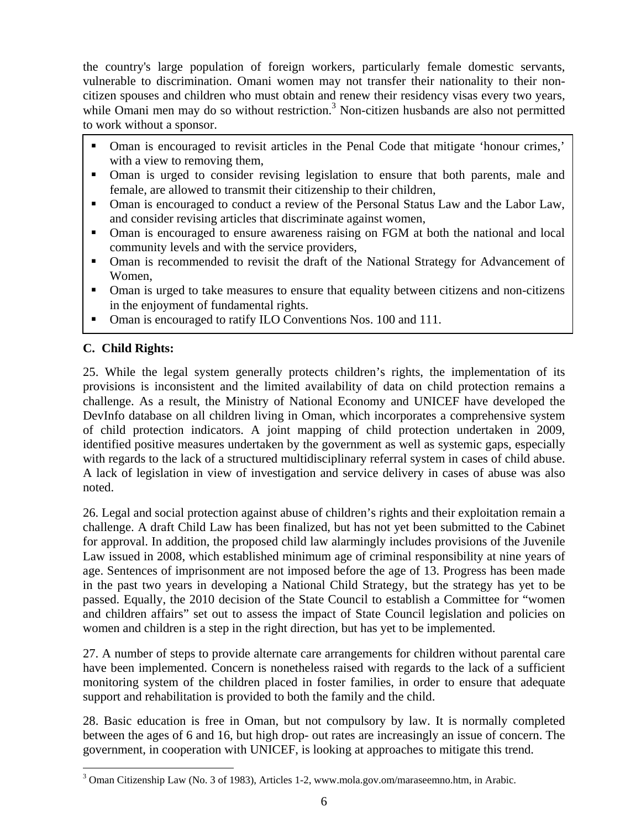the country's large population of foreign workers, particularly female domestic servants, vulnerable to discrimination. Omani women may not transfer their nationality to their noncitizen spouses and children who must obtain and renew their residency visas every two years, while Omani men may do so without restriction.<sup>3</sup> Non-citizen husbands are also not permitted to work without a sponsor.

- Oman is encouraged to revisit articles in the Penal Code that mitigate 'honour crimes,' with a view to removing them,
- Oman is urged to consider revising legislation to ensure that both parents, male and female, are allowed to transmit their citizenship to their children,
- Oman is encouraged to conduct a review of the Personal Status Law and the Labor Law, and consider revising articles that discriminate against women,
- Oman is encouraged to ensure awareness raising on FGM at both the national and local community levels and with the service providers,
- Oman is recommended to revisit the draft of the National Strategy for Advancement of Women,
- Oman is urged to take measures to ensure that equality between citizens and non-citizens in the enjoyment of fundamental rights.
- Oman is encouraged to ratify ILO Conventions Nos. 100 and 111.

# **C. Child Rights:**

 $\overline{a}$ 

25. While the legal system generally protects children's rights, the implementation of its provisions is inconsistent and the limited availability of data on child protection remains a challenge. As a result, the Ministry of National Economy and UNICEF have developed the DevInfo database on all children living in Oman, which incorporates a comprehensive system of child protection indicators. A joint mapping of child protection undertaken in 2009, identified positive measures undertaken by the government as well as systemic gaps, especially with regards to the lack of a structured multidisciplinary referral system in cases of child abuse. A lack of legislation in view of investigation and service delivery in cases of abuse was also noted.

26. Legal and social protection against abuse of children's rights and their exploitation remain a challenge. A draft Child Law has been finalized, but has not yet been submitted to the Cabinet for approval. In addition, the proposed child law alarmingly includes provisions of the Juvenile Law issued in 2008, which established minimum age of criminal responsibility at nine years of age. Sentences of imprisonment are not imposed before the age of 13. Progress has been made in the past two years in developing a National Child Strategy, but the strategy has yet to be passed. Equally, the 2010 decision of the State Council to establish a Committee for "women and children affairs" set out to assess the impact of State Council legislation and policies on women and children is a step in the right direction, but has yet to be implemented.

27. A number of steps to provide alternate care arrangements for children without parental care have been implemented. Concern is nonetheless raised with regards to the lack of a sufficient monitoring system of the children placed in foster families, in order to ensure that adequate support and rehabilitation is provided to both the family and the child.

28. Basic education is free in Oman, but not compulsory by law. It is normally completed between the ages of 6 and 16, but high drop- out rates are increasingly an issue of concern. The government, in cooperation with UNICEF, is looking at approaches to mitigate this trend.

<sup>&</sup>lt;sup>3</sup> Oman Citizenship Law (No. 3 of 1983), Articles 1-2, www.mola.gov.om/maraseemno.htm, in Arabic.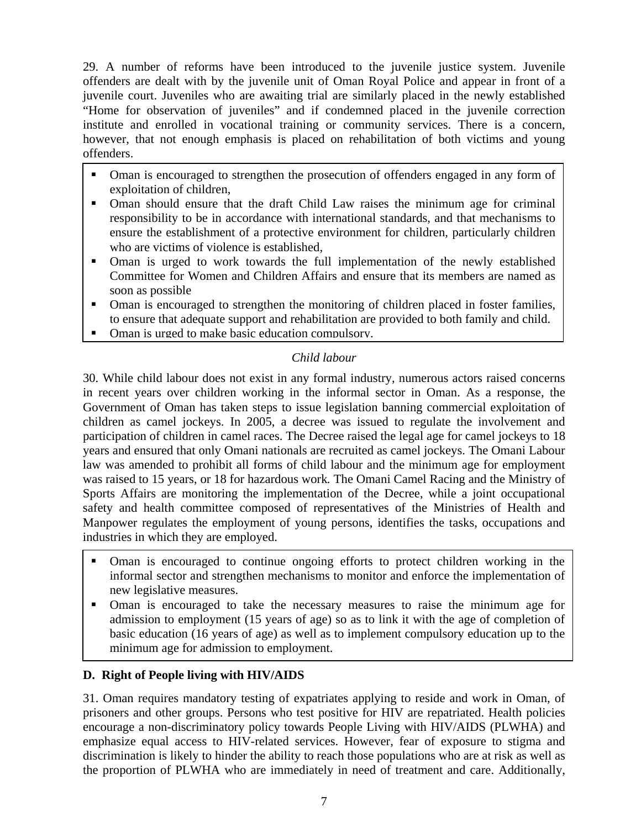29. A number of reforms have been introduced to the juvenile justice system. Juvenile offenders are dealt with by the juvenile unit of Oman Royal Police and appear in front of a juvenile court. Juveniles who are awaiting trial are similarly placed in the newly established "Home for observation of juveniles" and if condemned placed in the juvenile correction institute and enrolled in vocational training or community services. There is a concern, however, that not enough emphasis is placed on rehabilitation of both victims and young offenders.

- Oman is encouraged to strengthen the prosecution of offenders engaged in any form of exploitation of children,
- Oman should ensure that the draft Child Law raises the minimum age for criminal responsibility to be in accordance with international standards, and that mechanisms to ensure the establishment of a protective environment for children, particularly children who are victims of violence is established,
- Oman is urged to work towards the full implementation of the newly established Committee for Women and Children Affairs and ensure that its members are named as soon as possible
- Oman is encouraged to strengthen the monitoring of children placed in foster families, to ensure that adequate support and rehabilitation are provided to both family and child.
- Oman is urged to make basic education compulsory.

# *Child labour*

30. While child labour does not exist in any formal industry, numerous actors raised concerns in recent years over children working in the informal sector in Oman. As a response, the Government of Oman has taken steps to issue legislation banning commercial exploitation of children as camel jockeys. In 2005, a decree was issued to regulate the involvement and participation of children in camel races. The Decree raised the legal age for camel jockeys to 18 years and ensured that only Omani nationals are recruited as camel jockeys. The Omani Labour law was amended to prohibit all forms of child labour and the minimum age for employment was raised to 15 years, or 18 for hazardous work*.* The Omani Camel Racing and the Ministry of Sports Affairs are monitoring the implementation of the Decree, while a joint occupational safety and health committee composed of representatives of the Ministries of Health and Manpower regulates the employment of young persons, identifies the tasks, occupations and industries in which they are employed.

- Oman is encouraged to continue ongoing efforts to protect children working in the informal sector and strengthen mechanisms to monitor and enforce the implementation of new legislative measures.
- Oman is encouraged to take the necessary measures to raise the minimum age for admission to employment (15 years of age) so as to link it with the age of completion of basic education (16 years of age) as well as to implement compulsory education up to the minimum age for admission to employment.

### **D. Right of People living with HIV/AIDS**

31. Oman requires mandatory testing of expatriates applying to reside and work in Oman, of prisoners and other groups. Persons who test positive for HIV are repatriated. Health policies encourage a non-discriminatory policy towards People Living with HIV/AIDS (PLWHA) and emphasize equal access to HIV-related services. However, fear of exposure to stigma and discrimination is likely to hinder the ability to reach those populations who are at risk as well as the proportion of PLWHA who are immediately in need of treatment and care. Additionally,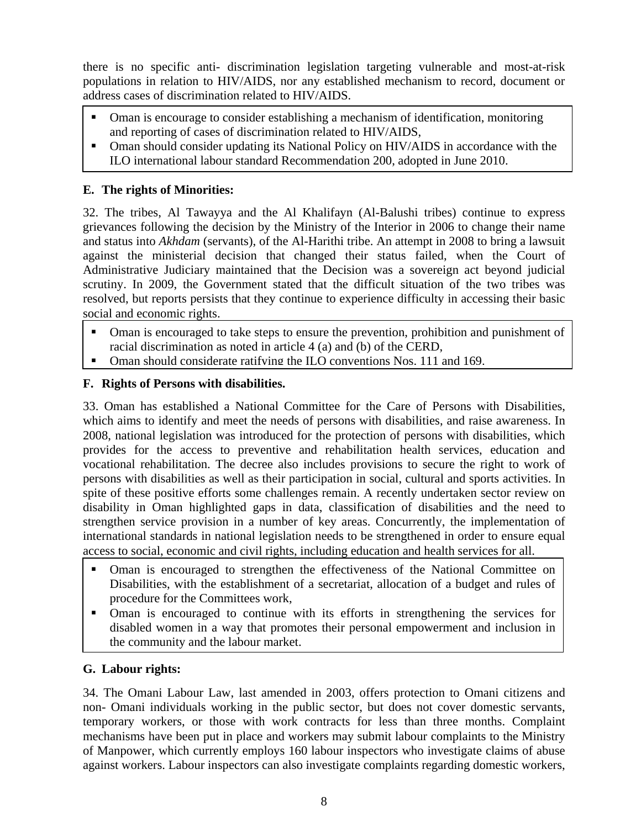there is no specific anti- discrimination legislation targeting vulnerable and most-at-risk populations in relation to HIV/AIDS, nor any established mechanism to record, document or address cases of discrimination related to HIV/AIDS.

- Oman is encourage to consider establishing a mechanism of identification, monitoring and reporting of cases of discrimination related to HIV/AIDS,
- Oman should consider updating its National Policy on HIV/AIDS in accordance with the ILO international labour standard Recommendation 200, adopted in June 2010.

# **E. The rights of Minorities:**

32. The tribes, Al Tawayya and the Al Khalifayn (Al-Balushi tribes) continue to express grievances following the decision by the Ministry of the Interior in 2006 to change their name and status into *Akhdam* (servants), of the Al-Harithi tribe. An attempt in 2008 to bring a lawsuit against the ministerial decision that changed their status failed, when the Court of Administrative Judiciary maintained that the Decision was a sovereign act beyond judicial scrutiny. In 2009, the Government stated that the difficult situation of the two tribes was resolved, but reports persists that they continue to experience difficulty in accessing their basic social and economic rights.

- Oman is encouraged to take steps to ensure the prevention, prohibition and punishment of racial discrimination as noted in article 4 (a) and (b) of the CERD,
- Oman should considerate ratifying the ILO conventions Nos. 111 and 169.

# **F. Rights of Persons with disabilities.**

33. Oman has established a National Committee for the Care of Persons with Disabilities, which aims to identify and meet the needs of persons with disabilities, and raise awareness. In 2008, national legislation was introduced for the protection of persons with disabilities, which provides for the access to preventive and rehabilitation health services, education and vocational rehabilitation. The decree also includes provisions to secure the right to work of persons with disabilities as well as their participation in social, cultural and sports activities. In spite of these positive efforts some challenges remain. A recently undertaken sector review on disability in Oman highlighted gaps in data, classification of disabilities and the need to strengthen service provision in a number of key areas. Concurrently, the implementation of international standards in national legislation needs to be strengthened in order to ensure equal access to social, economic and civil rights, including education and health services for all.

- Oman is encouraged to strengthen the effectiveness of the National Committee on Disabilities, with the establishment of a secretariat, allocation of a budget and rules of procedure for the Committees work,
- Oman is encouraged to continue with its efforts in strengthening the services for disabled women in a way that promotes their personal empowerment and inclusion in the community and the labour market.

# **G. Labour rights:**

34. The Omani Labour Law, last amended in 2003, offers protection to Omani citizens and non- Omani individuals working in the public sector, but does not cover domestic servants, temporary workers, or those with work contracts for less than three months. Complaint mechanisms have been put in place and workers may submit labour complaints to the Ministry of Manpower, which currently employs 160 labour inspectors who investigate claims of abuse against workers. Labour inspectors can also investigate complaints regarding domestic workers,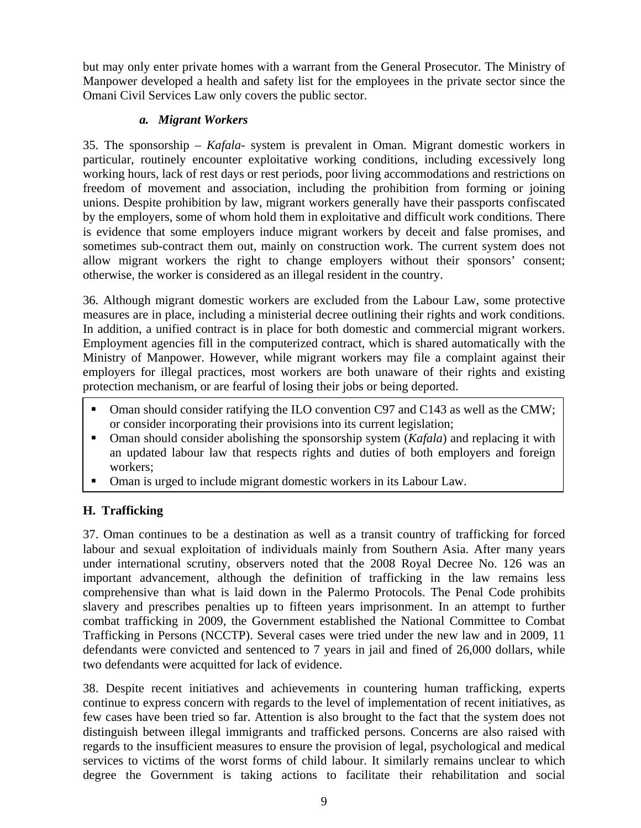but may only enter private homes with a warrant from the General Prosecutor. The Ministry of Manpower developed a health and safety list for the employees in the private sector since the Omani Civil Services Law only covers the public sector.

### *a. Migrant Workers*

35. The sponsorship – *Kafala*- system is prevalent in Oman. Migrant domestic workers in particular, routinely encounter exploitative working conditions, including excessively long working hours, lack of rest days or rest periods, poor living accommodations and restrictions on freedom of movement and association, including the prohibition from forming or joining unions. Despite prohibition by law, migrant workers generally have their passports confiscated by the employers, some of whom hold them in exploitative and difficult work conditions. There is evidence that some employers induce migrant workers by deceit and false promises, and sometimes sub-contract them out, mainly on construction work. The current system does not allow migrant workers the right to change employers without their sponsors' consent; otherwise, the worker is considered as an illegal resident in the country.

36. Although migrant domestic workers are excluded from the Labour Law, some protective measures are in place, including a ministerial decree outlining their rights and work conditions. In addition, a unified contract is in place for both domestic and commercial migrant workers. Employment agencies fill in the computerized contract, which is shared automatically with the Ministry of Manpower. However, while migrant workers may file a complaint against their employers for illegal practices, most workers are both unaware of their rights and existing protection mechanism, or are fearful of losing their jobs or being deported.

- Oman should consider ratifying the ILO convention C97 and C143 as well as the CMW; or consider incorporating their provisions into its current legislation;
- **•** Oman should consider abolishing the sponsorship system (*Kafala*) and replacing it with an updated labour law that respects rights and duties of both employers and foreign workers;
- Oman is urged to include migrant domestic workers in its Labour Law.

# **H. Trafficking**

37. Oman continues to be a destination as well as a transit country of trafficking for forced labour and sexual exploitation of individuals mainly from Southern Asia. After many years under international scrutiny, observers noted that the 2008 Royal Decree No. 126 was an important advancement, although the definition of trafficking in the law remains less comprehensive than what is laid down in the Palermo Protocols. The Penal Code prohibits slavery and prescribes penalties up to fifteen years imprisonment. In an attempt to further combat trafficking in 2009, the Government established the National Committee to Combat Trafficking in Persons (NCCTP). Several cases were tried under the new law and in 2009, 11 defendants were convicted and sentenced to 7 years in jail and fined of 26,000 dollars, while two defendants were acquitted for lack of evidence.

38. Despite recent initiatives and achievements in countering human trafficking, experts continue to express concern with regards to the level of implementation of recent initiatives, as few cases have been tried so far. Attention is also brought to the fact that the system does not distinguish between illegal immigrants and trafficked persons. Concerns are also raised with regards to the insufficient measures to ensure the provision of legal, psychological and medical services to victims of the worst forms of child labour. It similarly remains unclear to which degree the Government is taking actions to facilitate their rehabilitation and social